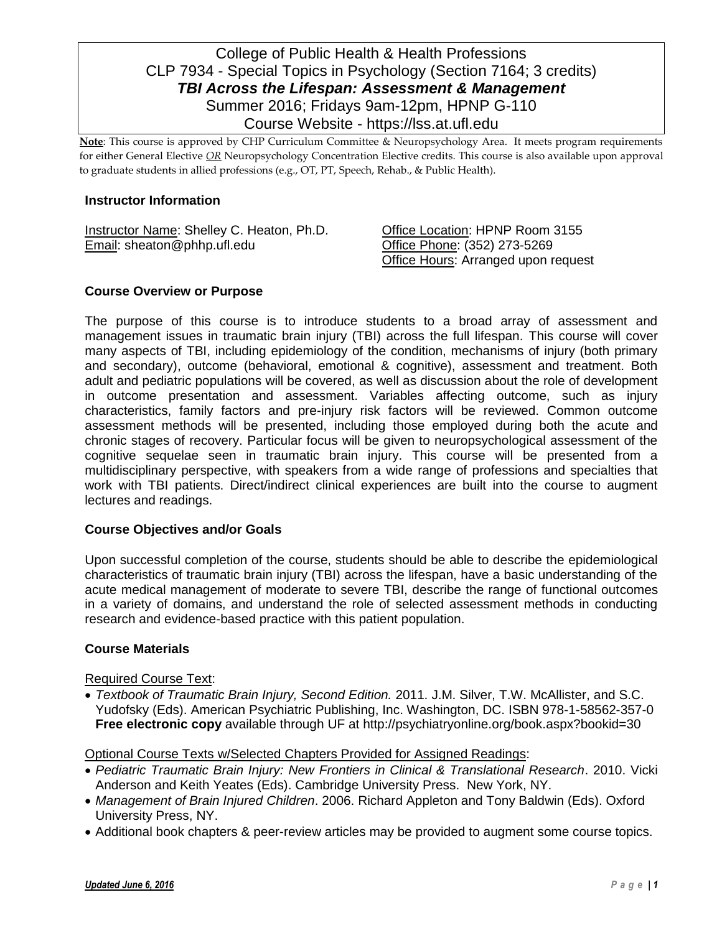# College of Public Health & Health Professions CLP 7934 - Special Topics in Psychology (Section 7164; 3 credits) *TBI Across the Lifespan: Assessment & Management* Summer 2016; Fridays 9am-12pm, HPNP G-110 Course Website - https://lss.at.ufl.edu

**Note**: This course is approved by CHP Curriculum Committee & Neuropsychology Area. It meets program requirements for either General Elective *OR* Neuropsychology Concentration Elective credits. This course is also available upon approval to graduate students in allied professions (e.g., OT, PT, Speech, Rehab., & Public Health).

#### **Instructor Information**

Instructor Name: Shelley C. Heaton, Ph.D. Office Location: HPNP Room 3155 Email: sheaton@phhp.ufl.edu Office Phone: (352) 273-5269

Office Hours: Arranged upon request

## **Course Overview or Purpose**

The purpose of this course is to introduce students to a broad array of assessment and management issues in traumatic brain injury (TBI) across the full lifespan. This course will cover many aspects of TBI, including epidemiology of the condition, mechanisms of injury (both primary and secondary), outcome (behavioral, emotional & cognitive), assessment and treatment. Both adult and pediatric populations will be covered, as well as discussion about the role of development in outcome presentation and assessment. Variables affecting outcome, such as injury characteristics, family factors and pre-injury risk factors will be reviewed. Common outcome assessment methods will be presented, including those employed during both the acute and chronic stages of recovery. Particular focus will be given to neuropsychological assessment of the cognitive sequelae seen in traumatic brain injury. This course will be presented from a multidisciplinary perspective, with speakers from a wide range of professions and specialties that work with TBI patients. Direct/indirect clinical experiences are built into the course to augment lectures and readings.

## **Course Objectives and/or Goals**

Upon successful completion of the course, students should be able to describe the epidemiological characteristics of traumatic brain injury (TBI) across the lifespan, have a basic understanding of the acute medical management of moderate to severe TBI, describe the range of functional outcomes in a variety of domains, and understand the role of selected assessment methods in conducting research and evidence-based practice with this patient population.

## **Course Materials**

Required Course Text:

 *Textbook of Traumatic Brain Injury, Second Edition.* 2011. J.M. Silver, T.W. McAllister, and S.C. Yudofsky (Eds). American Psychiatric Publishing, Inc. Washington, DC. ISBN 978-1-58562-357-0 **Free electronic copy** available through UF at http://psychiatryonline.org/book.aspx?bookid=30

Optional Course Texts w/Selected Chapters Provided for Assigned Readings:

- *Pediatric Traumatic Brain Injury: New Frontiers in Clinical & Translational Research*. 2010. Vicki Anderson and Keith Yeates (Eds). Cambridge University Press. New York, NY.
- *Management of Brain Injured Children*. 2006. Richard Appleton and Tony Baldwin (Eds). Oxford University Press, NY.
- Additional book chapters & peer-review articles may be provided to augment some course topics.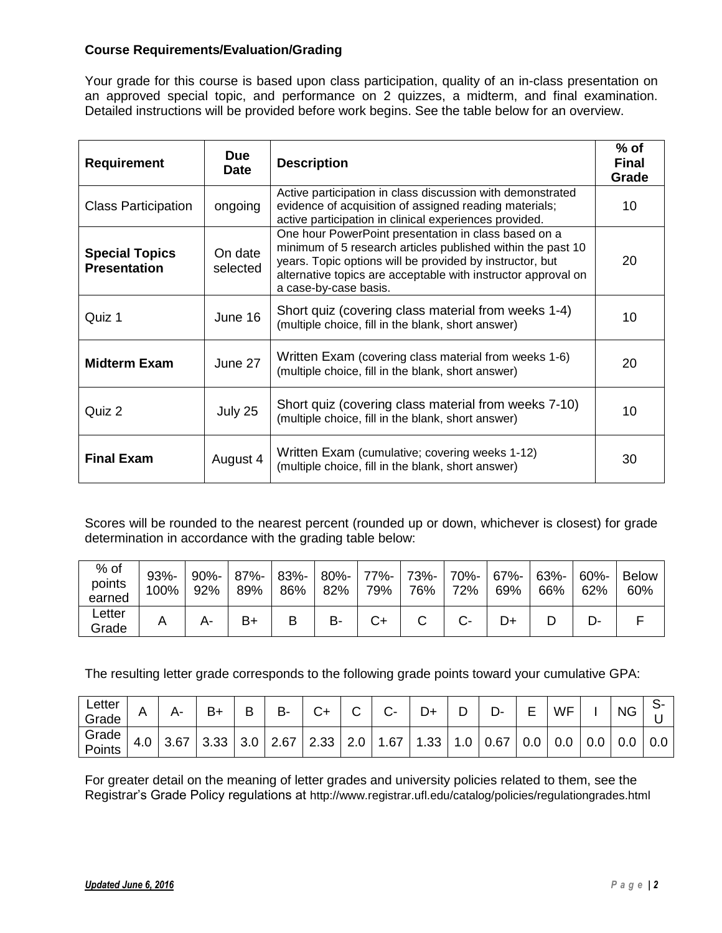# **Course Requirements/Evaluation/Grading**

Your grade for this course is based upon class participation, quality of an in-class presentation on an approved special topic, and performance on 2 quizzes, a midterm, and final examination. Detailed instructions will be provided before work begins. See the table below for an overview.

| <b>Requirement</b>                           | <b>Due</b><br><b>Date</b> | <b>Description</b>                                                                                                                                                                                                                                                        | $%$ of<br><b>Final</b><br>Grade |
|----------------------------------------------|---------------------------|---------------------------------------------------------------------------------------------------------------------------------------------------------------------------------------------------------------------------------------------------------------------------|---------------------------------|
| <b>Class Participation</b>                   | ongoing                   | Active participation in class discussion with demonstrated<br>evidence of acquisition of assigned reading materials;<br>active participation in clinical experiences provided.                                                                                            | 10                              |
| <b>Special Topics</b><br><b>Presentation</b> | On date<br>selected       | One hour PowerPoint presentation in class based on a<br>minimum of 5 research articles published within the past 10<br>years. Topic options will be provided by instructor, but<br>alternative topics are acceptable with instructor approval on<br>a case-by-case basis. | 20                              |
| Quiz 1                                       | June 16                   | Short quiz (covering class material from weeks 1-4)<br>(multiple choice, fill in the blank, short answer)                                                                                                                                                                 | 10                              |
| <b>Midterm Exam</b>                          | June 27                   | Written Exam (covering class material from weeks 1-6)<br>(multiple choice, fill in the blank, short answer)                                                                                                                                                               | 20                              |
| Quiz 2                                       | July 25                   | Short quiz (covering class material from weeks 7-10)<br>(multiple choice, fill in the blank, short answer)                                                                                                                                                                | 10                              |
| <b>Final Exam</b>                            | August 4                  | Written Exam (cumulative; covering weeks 1-12)<br>(multiple choice, fill in the blank, short answer)                                                                                                                                                                      | 30                              |

Scores will be rounded to the nearest percent (rounded up or down, whichever is closest) for grade determination in accordance with the grading table below:

| $%$ of<br>points<br>earned | $93% -$<br>100% | $90% -$<br>92% | $87% -$<br>89% | 83%-<br>86% | $80% -$<br>82% | 77%- l<br>79% | 73%-<br>76% | $70% -$<br>72% | $67% -$<br>69% | 63%-<br>66% | $60\%$ -<br>62% | <b>Below</b><br>60% |
|----------------------------|-----------------|----------------|----------------|-------------|----------------|---------------|-------------|----------------|----------------|-------------|-----------------|---------------------|
| Letter<br>Grade            |                 |                | B+             |             | в.             |               |             |                |                |             |                 |                     |

The resulting letter grade corresponds to the following grade points toward your cumulative GPA:

| Letter<br>Grade |     |      |               | в | В- |          |                  |      | D   | Ď-   | -   | <b>WF</b> |     | <b>NG</b> |           |
|-----------------|-----|------|---------------|---|----|----------|------------------|------|-----|------|-----|-----------|-----|-----------|-----------|
| Grade<br>Points | 4.0 | 3.67 | 3.33 3.0 2.67 |   |    | 2.33 2.0 | $.67 \mid$<br>-1 | 1.33 | 1.0 | 0.67 | 0.0 | 0.0       | 0.0 |           | 0.0   0.0 |

For greater detail on the meaning of letter grades and university policies related to them, see the Registrar's Grade Policy regulations at http://www.registrar.ufl.edu/catalog/policies/regulationgrades.html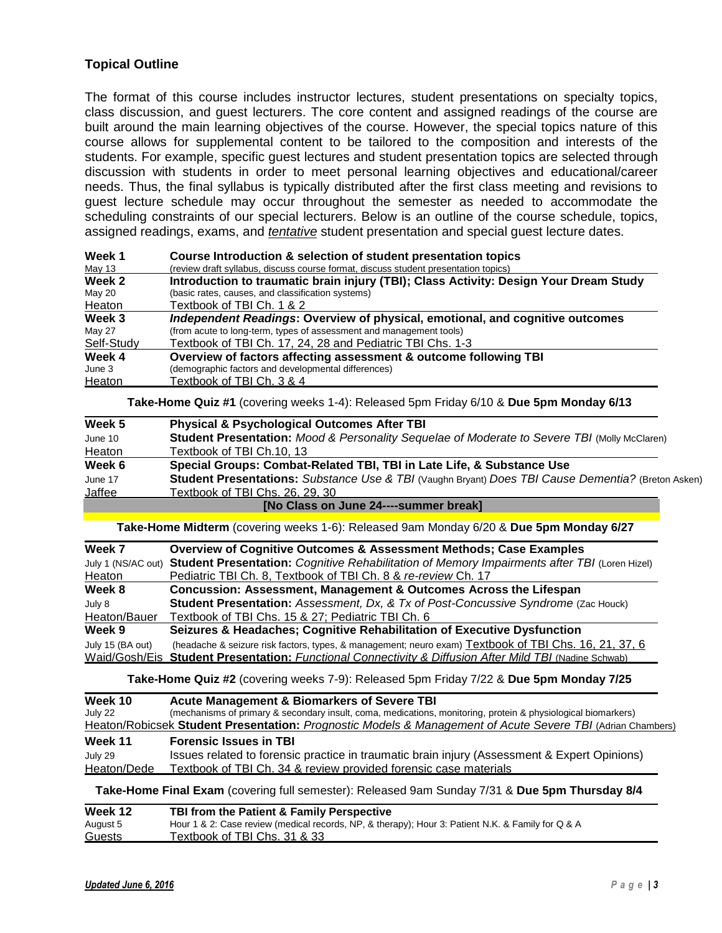# **Topical Outline**

The format of this course includes instructor lectures, student presentations on specialty topics, class discussion, and guest lecturers. The core content and assigned readings of the course are built around the main learning objectives of the course. However, the special topics nature of this course allows for supplemental content to be tailored to the composition and interests of the students. For example, specific guest lectures and student presentation topics are selected through discussion with students in order to meet personal learning objectives and educational/career needs. Thus, the final syllabus is typically distributed after the first class meeting and revisions to guest lecture schedule may occur throughout the semester as needed to accommodate the scheduling constraints of our special lecturers. Below is an outline of the course schedule, topics, assigned readings, exams, and *tentative* student presentation and special guest lecture dates.

| Week 1     | Course Introduction & selection of student presentation topics                        |
|------------|---------------------------------------------------------------------------------------|
| May 13     | (review draft syllabus, discuss course format, discuss student presentation topics)   |
| Week 2     | Introduction to traumatic brain injury (TBI); Class Activity: Design Your Dream Study |
| May 20     | (basic rates, causes, and classification systems)                                     |
| Heaton     | Textbook of TBI Ch. 1 & 2                                                             |
| Week 3     | Independent Readings: Overview of physical, emotional, and cognitive outcomes         |
| May 27     | (from acute to long-term, types of assessment and management tools)                   |
| Self-Study | Textbook of TBI Ch. 17, 24, 28 and Pediatric TBI Chs. 1-3                             |
| Week 4     | Overview of factors affecting assessment & outcome following TBI                      |
| June 3     | (demographic factors and developmental differences)                                   |
| Heaton     | Textbook of TBI Ch. 3 & 4                                                             |

**Take-Home Quiz #1** (covering weeks 1-4): Released 5pm Friday 6/10 & **Due 5pm Monday 6/13**

| Week 5        | <b>Physical &amp; Psychological Outcomes After TBI</b>                                             |
|---------------|----------------------------------------------------------------------------------------------------|
| June 10       | Student Presentation: Mood & Personality Sequelae of Moderate to Severe TBI (Molly McClaren)       |
| Heaton        | Textbook of TBI Ch.10, 13                                                                          |
| Week 6        | Special Groups: Combat-Related TBI, TBI in Late Life, & Substance Use                              |
| June 17       | Student Presentations: Substance Use & TBI (Vaughn Bryant) Does TBI Cause Dementia? (Breton Asken) |
| <u>Jaffee</u> | Textbook of TBI Chs. 26. 29. 30_                                                                   |
|               | [No Class on June 24----summer break]                                                              |

**Take-Home Midterm** (covering weeks 1-6): Released 9am Monday 6/20 & **Due 5pm Monday 6/27**

| Week 7             | <b>Overview of Cognitive Outcomes &amp; Assessment Methods; Case Examples</b>                          |
|--------------------|--------------------------------------------------------------------------------------------------------|
| July 1 (NS/AC out) | Student Presentation: Cognitive Rehabilitation of Memory Impairments after TBI (Loren Hizel)           |
| Heaton             | Pediatric TBI Ch. 8, Textbook of TBI Ch. 8 & re-review Ch. 17                                          |
| Week 8             | Concussion: Assessment, Management & Outcomes Across the Lifespan                                      |
| July 8             | Student Presentation: Assessment, Dx, & Tx of Post-Concussive Syndrome (Zac Houck)                     |
| Heaton/Bauer       | Textbook of TBI Chs. 15 & 27; Pediatric TBI Ch. 6                                                      |
| Week 9             | Seizures & Headaches; Cognitive Rehabilitation of Executive Dysfunction                                |
| July 15 (BA out)   | (headache & seizure risk factors, types, & management; neuro exam) Textbook of TBI Chs. 16, 21, 37, 6  |
|                    | Waid/Gosh/Eis Student Presentation: Functional Connectivity & Diffusion After Mild TBI (Nadine Schwab) |

**Take-Home Quiz #2** (covering weeks 7-9): Released 5pm Friday 7/22 & **Due 5pm Monday 7/25**

| Week 10<br>July 22 | <b>Acute Management &amp; Biomarkers of Severe TBI</b><br>(mechanisms of primary & secondary insult, coma, medications, monitoring, protein & physiological biomarkers) |
|--------------------|-------------------------------------------------------------------------------------------------------------------------------------------------------------------------|
|                    | Heaton/Robicsek Student Presentation: Prognostic Models & Management of Acute Severe TBI (Adrian Chambers)                                                              |
| Week 11            | <b>Forensic Issues in TBI</b>                                                                                                                                           |
| July 29            | Issues related to forensic practice in traumatic brain injury (Assessment & Expert Opinions)                                                                            |
| Heaton/Dede        | Textbook of TBI Ch. 34 & review provided forensic case materials                                                                                                        |
|                    | Take-Home Final Exam (covering full semester): Released 9am Sunday 7/31 & Due 5pm Thursday 8/4                                                                          |

| Week 12  | TBI from the Patient & Family Perspective                                                         |
|----------|---------------------------------------------------------------------------------------------------|
| August 5 | Hour 1 & 2: Case review (medical records, NP, & therapy); Hour 3: Patient N.K. & Family for Q & A |
| Guests   | Textbook of TBI Chs. 31 & 33                                                                      |